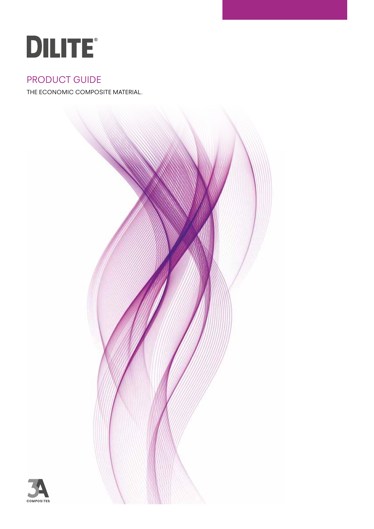

## PRODUCT GUIDE

THE ECONOMIC COMPOSITE MATERIAL.



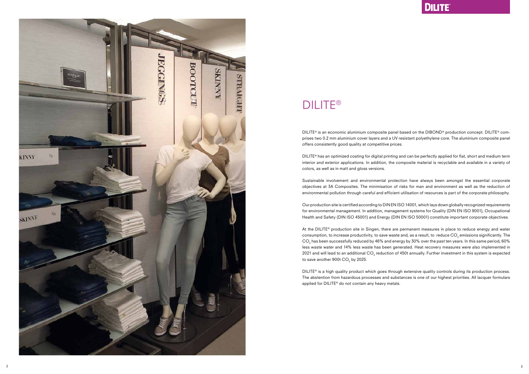

DILITE® is an economic aluminium composite panel based on the DIBOND® production concept. DILITE® comprises two 0.2 mm aluminium cover layers and a UV resistant polyethylene core. The aluminium composite panel offers consistently good quality at competitive prices.

DILITE® has an optimized coating for digital printing and can be perfectly applied for flat, short and medium term interior and exterior applications. In addition, the composite material is recyclable and available in a variety of colors, as well as in matt and gloss versions.

Sustainable involvement and environmental protection have always been amongst the essential corporate objectives at 3A Composites. The minimisation of risks for man and environment as well as the reduction of environmental pollution through careful and efficient utilisation of resources is part of the corporate philosophy.

Our production site is certified according to DIN EN ISO 14001, which lays down globally recognized requirements for environmental management. In addition, management systems for Quality (DIN EN ISO 9001), Occupational Health and Safety (DIN ISO 45001) and Energy (DIN EN ISO 50001) constitute important corporate objectives.

At the DILITE<sup>®</sup> production site in Singen, there are permanent measures in place to reduce energy and water consumption, to increase productivity, to save waste and, as a result, to  $\,$  reduce  $\rm CO_{2}$  emissions significantly. The  $\mathsf{CO}_2$  has been successfully reduced by 46% and energy by 30% over the past ten years. In this same period, 60% less waste water and 14% less waste has been generated. Heat recovery measures were also implemented in 2021 and will lead to an additional CO $_2$  reduction of 450t annually. Further investment in this system is expected to save another 900t CO $_{\textrm{\tiny{2}}}$  by 2025.

DILITE® is a high quality product which goes through extensive quality controls during its production process. The abstention from hazardous processes and substances is one of our highest priorities. All lacquer formulars applied for DILITE® do not contain any heavy metals.

## DILITE®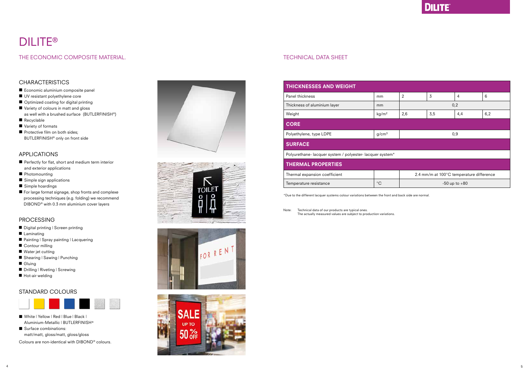## DILITE®

## TECHNICAL DATA SHEET

- Economic aluminium composite panel
- UV resistant polyethylene core
- Optimized coating for digital printing
- Variety of colours in matt and gloss as well with a brushed surface (BUTLERFINISH®)
- Recyclable
- Variety of formats
- $\blacksquare$  Protective film on both sides; BUTLERFINISH® only on front side

- **Perfectly for flat, short and medium term interior** and exterior applications
- **Photomounting**
- Simple sign applications
- Simple hoardings
- **For large format signage, shop fronts and complexe** processing techniques (e.g. folding) we recommend DIBOND® with 0.3 mm aluminium cover layers

### APPLICATIONS

- White | Yellow | Red | Blue | Black | Aluminium-Metallic | BUTLERFINISH®
- Surface combinations: matt/matt, gloss/matt, gloss/gloss

## PROCESSING

- Digital printing | Screen printing
- Laminating
- Painting | Spray painting | Lacquering
- Contour milling
- Water jet cutting
- Shearing | Sawing | Punching
- Gluing
- Drilling | Riveting | Screwing
- Hot-air welding

## STANDARD COLOURS



Colours are non-identical with DIBOND® colours.









## THE ECONOMIC COMPOSITE MATERIAL.

## **CHARACTERISTICS**

| <b>THICKNESSES AND WEIGHT</b>                           |                   |                                        |     |                |     |
|---------------------------------------------------------|-------------------|----------------------------------------|-----|----------------|-----|
| Panel thickness                                         | mm                | 2                                      | 3   | $\overline{4}$ | 6   |
| Thickness of aluminium layer                            | mm                | 0,2                                    |     |                |     |
| Weight                                                  | kg/m <sup>2</sup> | 2,6                                    | 3,5 | 4,4            | 6,2 |
| <b>CORE</b>                                             |                   |                                        |     |                |     |
| Polyethylene, type LDPE                                 | $g/cm^3$          | 0,9                                    |     |                |     |
| <b>SURFACE</b>                                          |                   |                                        |     |                |     |
| Polyurethane-lacquer system / polyester-lacquer system* |                   |                                        |     |                |     |
| <b>THERMAL PROPERTIES</b>                               |                   |                                        |     |                |     |
| Thermal expansion coefficient                           |                   | 2.4 mm/m at 100°C temperature differen |     |                |     |
| Temperature resistance                                  | $^{\circ}C$       | $-50$ up to $+80$                      |     |                |     |



\*Due to the different lacquer systems colour variations between the front and back side are normal.

Note: Technical data of our products are typical ones. The actually measured values are subject to production variations.

## **DILITE®**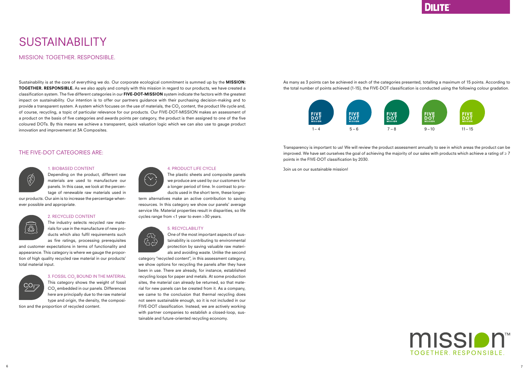Sustainability is at the core of everything we do. Our corporate ecological commitment is summed up by the **MISSION:** TOGETHER. RESPONSIBLE. As we also apply and comply with this mission in regard to our products, we have created a classification system. The five different categories in our FIVE-DOT-MISSION system indicate the factors with the greatest impact on sustainability. Our intention is to offer our partners guidance with their purchasing decision-making and to provide a transparent system. A system which focuses on the use of materials, the CO $_{\rm 2}$  content, the product life cycle and, of course, recycling, a topic of particular relevance for our products. Our FIVE-DOT-MISSION makes an assessment of a product on the basis of five categories and awards points per category, the product is then assigned to one of the five coloured DOTs. By this means we achieve a transparent, quick valuation logic which we can also use to gauge product innovation and improvement at 3A Composites.

As many as 3 points can be achieved in each of the categories presented, totalling a maximum of 15 points. According to the total number of points achieved (1-15), the FIVE-DOT classification is conducted using the following colour gradation.

## SUSTAINABILITY

MISSION: TOGETHER. RESPONSIBLE

Transparency is important to us! We will review the product assessment annually to see in which areas the product can be improved. We have set ourselves the goal of achieving the majority of our sales with products which achieve a rating of  $\geq 7$ points in the FIVE-DOT classification by 2030.

Join us on our sustainable mission!





### THE FIVE-DOT CATEGORIES ARE:



 $\sqrt{\frac{\mathcal{O}}{\mathcal{O}}\mathcal{O}}$ 

#### 4. PRODUCT LIFE CYCLE

The plastic sheets and composite panels we produce are used by our customers for a longer period of time. In contrast to products used in the short term, these longer-

term alternatives make an active contribution to saving resources. In this category we show our panels' average service life. Material properties result in disparities, so life cycles range from <1 year to even >30 years.

#### 5. RECYCLABILITY



One of the most important aspects of sustainability is contributing to environmental protection by saving valuable raw materials and avoiding waste. Unlike the second

category "recycled content", in this assessment category, we show options for recycling the panels after they have been in use. There are already, for instance, established recycling loops for paper and metals. At some production sites, the material can already be returned, so that material for new panels can be created from it. As a company, we came to the conclusion that thermal recycling does not seem sustainable enough, so it is not included in our FIVE-DOT classification. Instead, we are actively working with partner companies to establish a closed-loop, sustainable and future-oriented recycling economy.

#### 1. BIOBASED CONTENT

Depending on the product, different raw materials are used to manufacture our panels. In this case, we look at the percentage of renewable raw materials used in

our products. Our aim is to increase the percentage whenever possible and appropriate.

#### 2. RECYCLED CONTENT

The industry selects recycled raw materials for use in the manufacture of new products which also fulfil requirements such as fire ratings, processing prerequisites

and customer expectations in terms of functionality and appearance. This category is where we gauge the proportion of high quality recycled raw material in our products' total material input.



### 3. FOSSIL CO $_{\tiny 2}$  BOUND IN THE MATERIAL

This category shows the weight of fossil  $\mathsf{CO}_2$  embedded in our panels. Differences here are principally due to the raw material type and origin, the density, the composi-

tion and the proportion of recycled content.



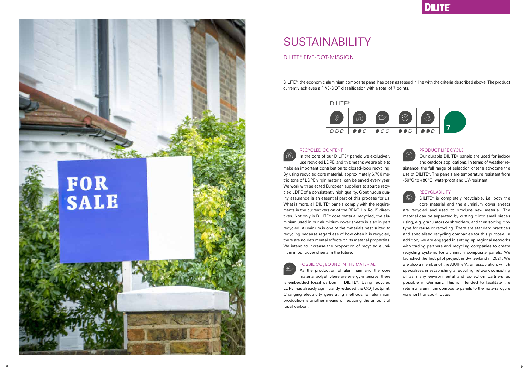

DILITE®, the economic aluminium composite panel has been assessed in line with the criteria described above. The product currently achieves a FIVE-DOT classification with a total of 7 points.

# SUSTAINABILITY

## DILITE® FIVE-DOT-MISSION

#### PRODUCT LIFE CYCLE

Our durable DILITE® panels are used for indoor and outdoor applications. In terms of weather resistance, the full range of selection criteria advocate the use of DILITE®. The panels are temperature resistant from -50°C to +80°C, waterproof and UV-resistant.



## RECYCLABILITY

DILITE® is completely recyclable, i.e. both the core material and the aluminium cover sheets are recycled and used to produce new material. The material can be separated by cutting it into small pieces using, e.g. granulators or shredders, and then sorting it by type for reuse or recycling. There are standard practices and specialised recycling companies for this purpose. In addition, we are engaged in setting up regional networks with trading partners and recycling companies to create recycling systems for aluminium composite panels. We launched the first pilot project in Switzerland in 2021. We are also a member of the A|U|F e.V., an association, which specialises in establishing a recycling network consisting of as many environmental and collection partners as possible in Germany. This is intended to facilitate the return of aluminium composite panels to the material cycle via short transport routes.

In the core of our DILITE® panels we exclusively use recycled LDPE, and this means we are able to make an important contribution to closed-loop recycling. By using recycled core material, approximately 6,700 metric tons of LDPE virgin material can be saved every year. We work with selected European suppliers to source recycled LDPE of a consistently high quality. Continuous quality assurance is an essential part of this process for us. What is more, all DILITE<sup>®</sup> panels comply with the requirements in the current version of the REACH & RoHS directives. Not only is DILITE® core material recycled, the aluminium used in our aluminium cover sheets is also in part recycled. Aluminium is one of the materials best suited to recycling because regardless of how often it is recycled, there are no detrimental effects on its material properties. We intend to increase the proportion of recycled aluminium in our cover sheets in the future.



#### FOSSIL CO $_{\tiny 2}$  BOUND IN THE MATERIAL

#### RECYCLED CONTENT

As the production of aluminium and the core

material polyethylene are energy-intensive, there is embedded fossil carbon in DILITE®. Using recycled LDPE, has already significantly reduced the CO $_2$  footprint. Changing electricity generating methods for aluminium production is another means of reducing the amount of fossil carbon.